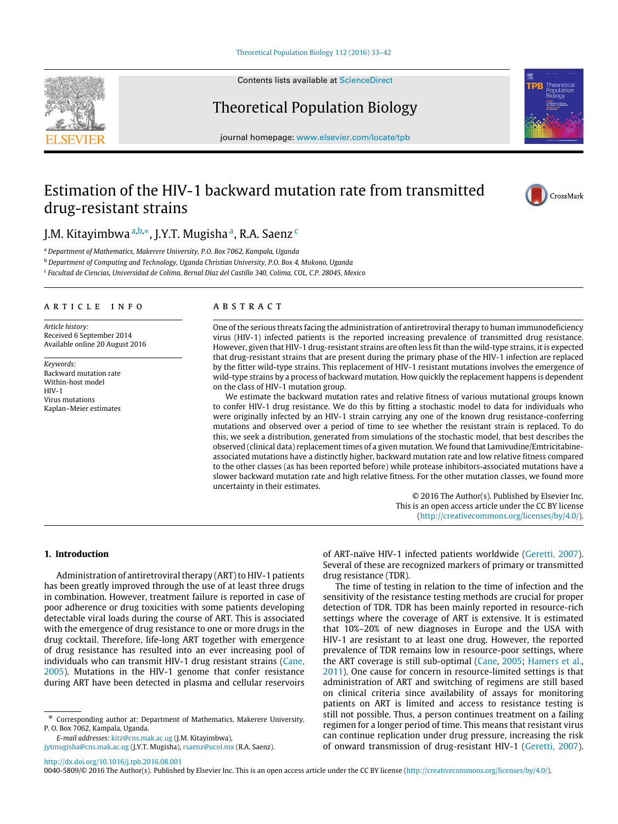# [Theoretical Population Biology 112 \(2016\) 33–42](http://dx.doi.org/10.1016/j.tpb.2016.08.001)

Contents lists available at [ScienceDirect](http://www.elsevier.com/locate/tpb)

# Theoretical Population Biology

journal homepage: [www.elsevier.com/locate/tpb](http://www.elsevier.com/locate/tpb)

# Estimation of the HIV-1 backward mutation rate from transmitted drug-resistant strains



<span id="page-0-0"></span><sup>a</sup> *Department of Mathematics, Makerere University, P.O. Box 7062, Kampala, Uganda*

<span id="page-0-1"></span><sup>b</sup> *Department of Computing and Technology, Uganda Christian University, P.O. Box 4, Mukono, Uganda*

<span id="page-0-3"></span>c *Facultad de Ciencias, Universidad de Colima, Bernal Díaz del Castillo 340, Colima, COL, C.P. 28045, Mexico*

# a r t i c l e i n f o

*Article history:* Received 6 September 2014 Available online 20 August 2016

*Keywords:* Backward mutation rate Within-host model HIV-1 Virus mutations Kaplan–Meier estimates

# A B S T R A C T

One of the serious threats facing the administration of antiretroviral therapy to human immunodeficiency virus (HIV-1) infected patients is the reported increasing prevalence of transmitted drug resistance. However, given that HIV-1 drug-resistant strains are often less fit than the wild-type strains, it is expected that drug-resistant strains that are present during the primary phase of the HIV-1 infection are replaced by the fitter wild-type strains. This replacement of HIV-1 resistant mutations involves the emergence of wild-type strains by a process of backward mutation. How quickly the replacement happens is dependent on the class of HIV-1 mutation group.

We estimate the backward mutation rates and relative fitness of various mutational groups known to confer HIV-1 drug resistance. We do this by fitting a stochastic model to data for individuals who were originally infected by an HIV-1 strain carrying any one of the known drug resistance-conferring mutations and observed over a period of time to see whether the resistant strain is replaced. To do this, we seek a distribution, generated from simulations of the stochastic model, that best describes the observed (clinical data) replacement times of a given mutation. We found that Lamivudine/Emtricitabineassociated mutations have a distinctly higher, backward mutation rate and low relative fitness compared to the other classes (as has been reported before) while protease inhibitors-associated mutations have a slower backward mutation rate and high relative fitness. For the other mutation classes, we found more uncertainty in their estimates.

> © 2016 The Author(s). Published by Elsevier Inc. This is an open access article under the CC BY license [\(http://creativecommons.org/licenses/by/4.0/\)](http://creativecommons.org/licenses/by/4.0/).

# **1. Introduction**

Administration of antiretroviral therapy (ART) to HIV-1 patients has been greatly improved through the use of at least three drugs in combination. However, treatment failure is reported in case of poor adherence or drug toxicities with some patients developing detectable viral loads during the course of ART. This is associated with the emergence of drug resistance to one or more drugs in the drug cocktail. Therefore, life-long ART together with emergence of drug resistance has resulted into an ever increasing pool of individuals who can transmit HIV-1 drug resistant strains [\(Cane,](#page-9-0) [2005\)](#page-9-0). Mutations in the HIV-1 genome that confer resistance during ART have been detected in plasma and cellular reservoirs

<span id="page-0-2"></span>Corresponding author at: Department of Mathematics, Makerere University, P. O. Box 7062, Kampala, Uganda.

*E-mail addresses:* [kitz@cns.mak.ac.ug](mailto:kitz@cns.mak.ac.ug) (J.M. Kitayimbwa), [jytmugisha@cns.mak.ac.ug](mailto:jytmugisha@cns.mak.ac.ug) (J.Y.T. Mugisha), [rsaenz@ucol.mx](mailto:rsaenz@ucol.mx) (R.A. Saenz). of ART-naïve HIV-1 infected patients worldwide [\(Geretti,](#page-9-1) [2007\)](#page-9-1). Several of these are recognized markers of primary or transmitted drug resistance (TDR).

The time of testing in relation to the time of infection and the sensitivity of the resistance testing methods are crucial for proper detection of TDR. TDR has been mainly reported in resource-rich settings where the coverage of ART is extensive. It is estimated that 10%–20% of new diagnoses in Europe and the USA with HIV-1 are resistant to at least one drug. However, the reported prevalence of TDR remains low in resource-poor settings, where the ART coverage is still sub-optimal [\(Cane,](#page-9-0) [2005;](#page-9-0) [Hamers](#page-9-2) [et al.,](#page-9-2) [2011\)](#page-9-2). One cause for concern in resource-limited settings is that administration of ART and switching of regimens are still based on clinical criteria since availability of assays for monitoring patients on ART is limited and access to resistance testing is still not possible. Thus, a person continues treatment on a failing regimen for a longer period of time. This means that resistant virus can continue replication under drug pressure, increasing the risk of onward transmission of drug-resistant HIV-1 [\(Geretti,](#page-9-1) [2007\)](#page-9-1).

<http://dx.doi.org/10.1016/j.tpb.2016.08.001>

0040-5809/© 2016 The Author(s). Published by Elsevier Inc. This is an open access article under the CC BY license [\(http://creativecommons.org/licenses/by/4.0/\)](http://creativecommons.org/licenses/by/4.0/).





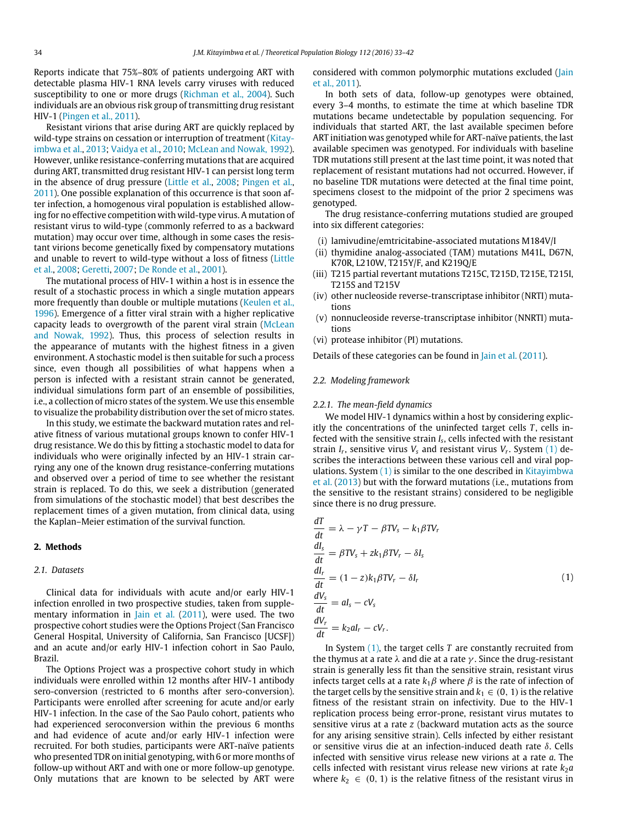Reports indicate that 75%–80% of patients undergoing ART with detectable plasma HIV-1 RNA levels carry viruses with reduced susceptibility to one or more drugs [\(Richman](#page-9-3) [et al.,](#page-9-3) [2004\)](#page-9-3). Such individuals are an obvious risk group of transmitting drug resistant HIV-1 [\(Pingen](#page-9-4) [et al.,](#page-9-4) [2011\)](#page-9-4).

Resistant virions that arise during ART are quickly replaced by [w](#page-9-5)ild-type strains on cessation or interruption of treatment [\(Kitay](#page-9-5)[imbwa](#page-9-5) [et al.,](#page-9-5) [2013;](#page-9-5) [Vaidya](#page-9-6) [et al.,](#page-9-6) [2010;](#page-9-6) [McLean](#page-9-7) [and](#page-9-7) [Nowak,](#page-9-7) [1992\)](#page-9-7). However, unlike resistance-conferring mutations that are acquired during ART, transmitted drug resistant HIV-1 can persist long term in the absence of drug pressure [\(Little](#page-9-8) [et al.,](#page-9-8) [2008;](#page-9-8) [Pingen](#page-9-4) [et al.,](#page-9-4) [2011\)](#page-9-4). One possible explanation of this occurrence is that soon after infection, a homogenous viral population is established allowing for no effective competition with wild-type virus. A mutation of resistant virus to wild-type (commonly referred to as a backward mutation) may occur over time, although in some cases the resistant virions become genetically fixed by compensatory mutations and unable to revert to wild-type without a loss of fitness [\(Little](#page-9-8) [et al.,](#page-9-8) [2008;](#page-9-8) [Geretti,](#page-9-1) [2007;](#page-9-1) [De](#page-9-9) [Ronde](#page-9-9) [et al.,](#page-9-9) [2001\)](#page-9-9).

The mutational process of HIV-1 within a host is in essence the result of a stochastic process in which a single mutation appears more frequently than double or multiple mutations [\(Keulen](#page-9-10) [et al.,](#page-9-10) [1996\)](#page-9-10). Emergence of a fitter viral strain with a higher replicative capacity leads to overgrowth of the parent viral strain [\(McLean](#page-9-7) [and](#page-9-7) [Nowak,](#page-9-7) [1992\)](#page-9-7). Thus, this process of selection results in the appearance of mutants with the highest fitness in a given environment. A stochastic model is then suitable for such a process since, even though all possibilities of what happens when a person is infected with a resistant strain cannot be generated, individual simulations form part of an ensemble of possibilities, i.e., a collection of micro states of the system. We use this ensemble to visualize the probability distribution over the set of micro states.

In this study, we estimate the backward mutation rates and relative fitness of various mutational groups known to confer HIV-1 drug resistance. We do this by fitting a stochastic model to data for individuals who were originally infected by an HIV-1 strain carrying any one of the known drug resistance-conferring mutations and observed over a period of time to see whether the resistant strain is replaced. To do this, we seek a distribution (generated from simulations of the stochastic model) that best describes the replacement times of a given mutation, from clinical data, using the Kaplan–Meier estimation of the survival function.

## **2. Methods**

#### <span id="page-1-1"></span>*2.1. Datasets*

Clinical data for individuals with acute and/or early HIV-1 infection enrolled in two prospective studies, taken from supplementary information in [Jain](#page-9-11) [et al.](#page-9-11) [\(2011\)](#page-9-11), were used. The two prospective cohort studies were the Options Project (San Francisco General Hospital, University of California, San Francisco [UCSF]) and an acute and/or early HIV-1 infection cohort in Sao Paulo, Brazil.

The Options Project was a prospective cohort study in which individuals were enrolled within 12 months after HIV-1 antibody sero-conversion (restricted to 6 months after sero-conversion). Participants were enrolled after screening for acute and/or early HIV-1 infection. In the case of the Sao Paulo cohort, patients who had experienced seroconversion within the previous 6 months and had evidence of acute and/or early HIV-1 infection were recruited. For both studies, participants were ART-naïve patients who presented TDR on initial genotyping, with 6 or more months of follow-up without ART and with one or more follow-up genotype. Only mutations that are known to be selected by ART were considered with common polymorphic mutations excluded [\(Jain](#page-9-11) [et al.,](#page-9-11) [2011\)](#page-9-11).

In both sets of data, follow-up genotypes were obtained, every 3–4 months, to estimate the time at which baseline TDR mutations became undetectable by population sequencing. For individuals that started ART, the last available specimen before ART initiation was genotyped while for ART-naïve patients, the last available specimen was genotyped. For individuals with baseline TDR mutations still present at the last time point, it was noted that replacement of resistant mutations had not occurred. However, if no baseline TDR mutations were detected at the final time point, specimens closest to the midpoint of the prior 2 specimens was genotyped.

The drug resistance-conferring mutations studied are grouped into six different categories:

- (i) lamivudine/emtricitabine-associated mutations M184V/I
- (ii) thymidine analog-associated (TAM) mutations M41L, D67N, K70R, L210W, T215Y/F, and K219Q/E
- (iii) T215 partial revertant mutations T215C, T215D, T215E, T215I, T215S and T215V
- (iv) other nucleoside reverse-transcriptase inhibitor (NRTI) mutations
- (v) nonnucleoside reverse-transcriptase inhibitor (NNRTI) mutations
- (vi) protease inhibitor (PI) mutations.

Details of these categories can be found in [Jain](#page-9-11) [et al.](#page-9-11) [\(2011\)](#page-9-11).

#### *2.2. Modeling framework*

#### *2.2.1. The mean-field dynamics*

We model HIV-1 dynamics within a host by considering explicitly the concentrations of the uninfected target cells *T*, cells infected with the sensitive strain *I<sup>s</sup>* , cells infected with the resistant strain  $I_r$ , sensitive virus  $V_s$  and resistant virus  $V_r$ . System [\(1\)](#page-1-0) describes the interactions between these various cell and viral populations. System  $(1)$  is similar to the one described in [Kitayimbwa](#page-9-5) [et al.](#page-9-5) [\(2013\)](#page-9-5) but with the forward mutations (i.e., mutations from the sensitive to the resistant strains) considered to be negligible since there is no drug pressure.

<span id="page-1-0"></span>
$$
\frac{dT}{dt} = \lambda - \gamma T - \beta T V_s - k_1 \beta T V_r
$$
\n
$$
\frac{dl_s}{dt} = \beta T V_s + z k_1 \beta T V_r - \delta I_s
$$
\n
$$
\frac{dl_r}{dt} = (1 - z) k_1 \beta T V_r - \delta I_r
$$
\n
$$
\frac{dV_s}{dt} = a I_s - c V_s
$$
\n
$$
\frac{dV_r}{dt} = k_2 a I_r - c V_r.
$$
\n(1)

In System [\(1\),](#page-1-0) the target cells *T* are constantly recruited from the thymus at a rate  $\lambda$  and die at a rate  $\gamma$ . Since the drug-resistant strain is generally less fit than the sensitive strain, resistant virus infects target cells at a rate  $k_1\beta$  where  $\beta$  is the rate of infection of the target cells by the sensitive strain and  $k_1 \in (0, 1)$  is the relative fitness of the resistant strain on infectivity. Due to the HIV-1 replication process being error-prone, resistant virus mutates to sensitive virus at a rate *z* (backward mutation acts as the source for any arising sensitive strain). Cells infected by either resistant or sensitive virus die at an infection-induced death rate δ. Cells infected with sensitive virus release new virions at a rate *a*. The cells infected with resistant virus release new virions at rate  $k_2a$ where  $k_2 \in (0, 1)$  is the relative fitness of the resistant virus in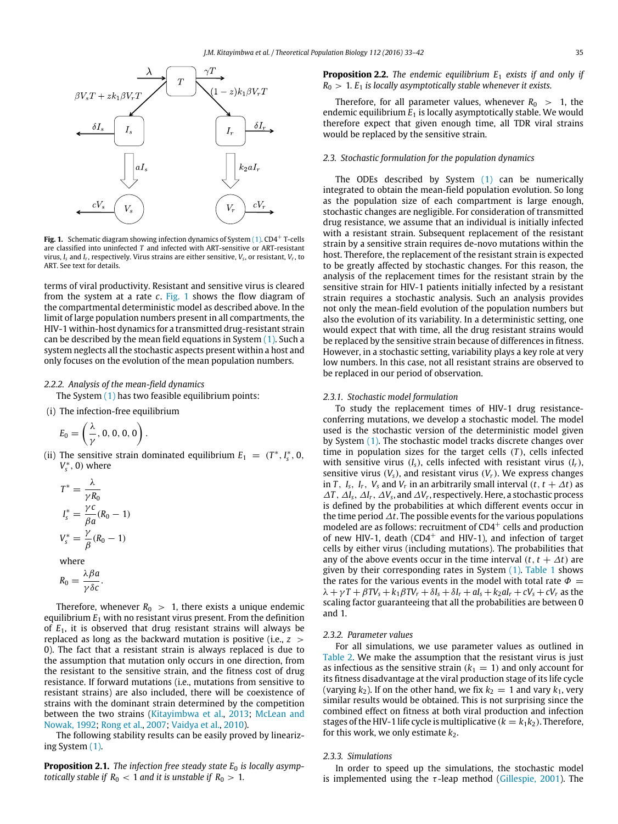<span id="page-2-0"></span>

**Fig. 1.** Schematic diagram showing infection dynamics of System [\(1\).](#page-1-0) CD4<sup>+</sup> T-cells are classified into uninfected *T* and infected with ART-sensitive or ART-resistant virus, *I<sup>s</sup>* and *I<sup>r</sup>* , respectively. Virus strains are either sensitive, *V<sup>s</sup>* , or resistant, *V<sup>r</sup>* , to ART. See text for details.

terms of viral productivity. Resistant and sensitive virus is cleared from the system at a rate *c*. [Fig. 1](#page-2-0) shows the flow diagram of the compartmental deterministic model as described above. In the limit of large population numbers present in all compartments, the HIV-1 within-host dynamics for a transmitted drug-resistant strain can be described by the mean field equations in System  $(1)$ . Such a system neglects all the stochastic aspects present within a host and only focuses on the evolution of the mean population numbers.

# *2.2.2. Analysis of the mean-field dynamics*

The System [\(1\)](#page-1-0) has two feasible equilibrium points:

(i) The infection-free equilibrium

$$
E_0=\left(\frac{\lambda}{\gamma},0,0,0,0\right).
$$

(ii) The sensitive strain dominated equilibrium  $E_1 = (T^*, I_s^*, 0,$  $V_s^*$ , 0) where

$$
T^* = \frac{\lambda}{\gamma R_0}
$$
  
\n
$$
I_s^* = \frac{\gamma c}{\beta a} (R_0 - 1)
$$
  
\n
$$
V_s^* = \frac{\gamma}{\beta} (R_0 - 1)
$$

where

$$
R_0=\frac{\lambda\beta a}{\gamma\delta c}.
$$

Therefore, whenever  $R_0 > 1$ , there exists a unique endemic equilibrium  $E_1$  with no resistant virus present. From the definition of *E*1, it is observed that drug resistant strains will always be replaced as long as the backward mutation is positive (i.e., *z* > 0). The fact that a resistant strain is always replaced is due to the assumption that mutation only occurs in one direction, from the resistant to the sensitive strain, and the fitness cost of drug resistance. If forward mutations (i.e., mutations from sensitive to resistant strains) are also included, there will be coexistence of strains with the dominant strain determined by the competition between the two strains [\(Kitayimbwa](#page-9-5) [et al.,](#page-9-5) [2013;](#page-9-5) [McLean](#page-9-7) [and](#page-9-7) [Nowak,](#page-9-7) [1992;](#page-9-7) [Rong](#page-9-12) [et al.,](#page-9-12) [2007;](#page-9-12) [Vaidya](#page-9-6) [et al.,](#page-9-6) [2010\)](#page-9-6).

The following stability results can be easily proved by linearizing System [\(1\).](#page-1-0)

**Proposition 2.1.** *The infection free steady state*  $E_0$  *is locally asymptotically stable if*  $R_0 < 1$  *and it is unstable if*  $R_0 > 1$ *.* 

**Proposition 2.2.** *The endemic equilibrium E*<sup>1</sup> *exists if and only if*  $R_0 > 1$ .  $E_1$  *is locally asymptotically stable whenever it exists.* 

Therefore, for all parameter values, whenever  $R_0 > 1$ , the endemic equilibrium  $E_1$  is locally asymptotically stable. We would therefore expect that given enough time, all TDR viral strains would be replaced by the sensitive strain.

#### *2.3. Stochastic formulation for the population dynamics*

The ODEs described by System [\(1\)](#page-1-0) can be numerically integrated to obtain the mean-field population evolution. So long as the population size of each compartment is large enough, stochastic changes are negligible. For consideration of transmitted drug resistance, we assume that an individual is initially infected with a resistant strain. Subsequent replacement of the resistant strain by a sensitive strain requires de-novo mutations within the host. Therefore, the replacement of the resistant strain is expected to be greatly affected by stochastic changes. For this reason, the analysis of the replacement times for the resistant strain by the sensitive strain for HIV-1 patients initially infected by a resistant strain requires a stochastic analysis. Such an analysis provides not only the mean-field evolution of the population numbers but also the evolution of its variability. In a deterministic setting, one would expect that with time, all the drug resistant strains would be replaced by the sensitive strain because of differences in fitness. However, in a stochastic setting, variability plays a key role at very low numbers. In this case, not all resistant strains are observed to be replaced in our period of observation.

### *2.3.1. Stochastic model formulation*

To study the replacement times of HIV-1 drug resistanceconferring mutations, we develop a stochastic model. The model used is the stochastic version of the deterministic model given by System [\(1\).](#page-1-0) The stochastic model tracks discrete changes over time in population sizes for the target cells (*T* ), cells infected with sensitive virus  $(I_s)$ , cells infected with resistant virus  $(I_r)$ , sensitive virus  $(V_s)$ , and resistant virus  $(V_r)$ . We express changes in *T*,  $I_s$ ,  $I_r$ ,  $V_s$  and  $V_r$  in an arbitrarily small interval  $(t, t + \Delta t)$  as ∆*T* , ∆*Is*, ∆*Ir*, ∆*V<sup>s</sup>* , and∆*V<sup>r</sup>* , respectively. Here, a stochastic process is defined by the probabilities at which different events occur in the time period ∆*t*. The possible events for the various populations modeled are as follows: recruitment of CD4<sup>+</sup> cells and production of new HIV-1, death (CD4<sup>+</sup> and HIV-1), and infection of target cells by either virus (including mutations). The probabilities that any of the above events occur in the time interval  $(t, t + \Delta t)$  are given by their corresponding rates in System [\(1\).](#page-1-0) [Table 1](#page-3-0) shows the rates for the various events in the model with total rate  $\Phi =$  $\lambda + \gamma T + \beta T V_s + k_1 \beta T V_r + \delta I_s + \delta I_r + aI_s + k_2 aI_r + cV_s + cV_r$  as the scaling factor guaranteeing that all the probabilities are between 0 and 1.

#### *2.3.2. Parameter values*

For all simulations, we use parameter values as outlined in [Table 2.](#page-3-1) We make the assumption that the resistant virus is just as infectious as the sensitive strain  $(k_1 = 1)$  and only account for its fitness disadvantage at the viral production stage of its life cycle (varying  $k_2$ ). If on the other hand, we fix  $k_2 = 1$  and vary  $k_1$ , very similar results would be obtained. This is not surprising since the combined effect on fitness at both viral production and infection stages of the HIV-1 life cycle is multiplicative  $(k = k_1 k_2)$ . Therefore, for this work, we only estimate  $k_2$ .

# *2.3.3. Simulations*

In order to speed up the simulations, the stochastic model is implemented using the  $\tau$ -leap method [\(Gillespie,](#page-9-13) [2001\)](#page-9-13). The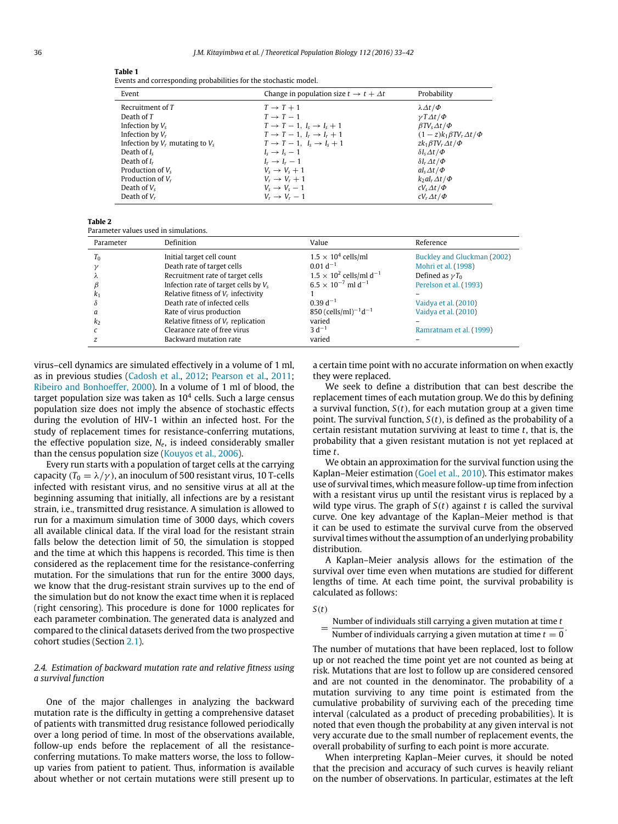| Event                                | Change in population size $t \to t + \Delta t$ | Probability                           |
|--------------------------------------|------------------------------------------------|---------------------------------------|
| Recruitment of T                     | $T \rightarrow T+1$                            | $\lambda \Delta t / \Phi$             |
| Death of T                           | $T \rightarrow T-1$                            | $\nu T \Delta t / \Phi$               |
| Infection by $V_s$                   | $T \rightarrow T-1$ , $I_s \rightarrow I_s+1$  | $\beta T V_s \Delta t / \Phi$         |
| Infection by $V_r$                   | $T \rightarrow T-1$ , $I_r \rightarrow I_r+1$  | $(1-z)k_1\beta T V_r \Delta t/\Phi$   |
| Infection by $V_r$ mutating to $V_s$ | $T \rightarrow T-1$ , $I_s \rightarrow I_s+1$  | $z k_1 \beta T V_r \Delta t / \Phi$   |
| Death of $I_s$                       | $I_s \rightarrow I_s - 1$                      | $\delta I_s \Delta t / \Phi$          |
| Death of $I_r$                       | $I_r \rightarrow I_r - 1$                      | $\delta I_r \Delta t / \Phi$          |
| Production of $V_s$                  | $V_{s} \rightarrow V_{s} + 1$                  | $al_{s}\Delta t/\Phi$                 |
| Production of $V_r$                  | $V_r \rightarrow V_r + 1$                      | $k_2$ al <sub>r</sub> $\Delta t/\Phi$ |
| Death of $V_s$                       | $V_s \rightarrow V_s - 1$                      | $cV_s\Delta t/\Phi$                   |
| Death of $V_r$                       | $V_r \rightarrow V_r - 1$                      | $cV_r\Delta t/\Phi$                   |

| Table T |                                                                  |
|---------|------------------------------------------------------------------|
|         | Events and corresponding probabilities for the stochastic model. |

<span id="page-3-1"></span>**Table 2**

Parameter values used in simulations.

<span id="page-3-0"></span>**Table 1**

| Parameter      | Definition                            | Value                                        | Reference                   |
|----------------|---------------------------------------|----------------------------------------------|-----------------------------|
| $T_0$          | Initial target cell count             | $1.5 \times 10^4$ cells/ml                   | Buckley and Gluckman (2002) |
|                | Death rate of target cells            | $0.01 d^{-1}$                                | Mohri et al. (1998)         |
|                | Recruitment rate of target cells      | $1.5 \times 10^2$ cells/ml d <sup>-1</sup>   | Defined as $\gamma T_0$     |
|                | Infection rate of target cells by V.  | $6.5 \times 10^{-7}$ ml d <sup>-1</sup>      | Perelson et al. (1993)      |
| K <sub>1</sub> | Relative fitness of $V_r$ infectivity |                                              |                             |
|                | Death rate of infected cells          | $0.39 d^{-1}$                                | Vaidya et al. (2010)        |
|                | Rate of virus production              | 850 (cells/ml) <sup>-1</sup> d <sup>-1</sup> | Vaidya et al. (2010)        |
| k <sub>2</sub> | Relative fitness of $V_r$ replication | varied                                       |                             |
|                | Clearance rate of free virus          | $3 d^{-1}$                                   | Ramratnam et al. (1999)     |
|                | Backward mutation rate                | varied                                       |                             |

virus–cell dynamics are simulated effectively in a volume of 1 ml, as in previous studies [\(Cadosh](#page-9-18) [et al.,](#page-9-18) [2012;](#page-9-18) [Pearson](#page-9-19) [et al.,](#page-9-19) [2011;](#page-9-19) [Ribeiro](#page-9-20) [and](#page-9-20) [Bonhoeffer,](#page-9-20) [2000\)](#page-9-20). In a volume of 1 ml of blood, the target population size was taken as  $10^4$  cells. Such a large census population size does not imply the absence of stochastic effects during the evolution of HIV-1 within an infected host. For the study of replacement times for resistance-conferring mutations, the effective population size, *N<sup>e</sup>* , is indeed considerably smaller than the census population size [\(Kouyos](#page-9-21) [et al.,](#page-9-21) [2006\)](#page-9-21).

Every run starts with a population of target cells at the carrying capacity ( $T_0 = \lambda/\gamma$ ), an inoculum of 500 resistant virus, 10 T-cells infected with resistant virus, and no sensitive virus at all at the beginning assuming that initially, all infections are by a resistant strain, i.e., transmitted drug resistance. A simulation is allowed to run for a maximum simulation time of 3000 days, which covers all available clinical data. If the viral load for the resistant strain falls below the detection limit of 50, the simulation is stopped and the time at which this happens is recorded. This time is then considered as the replacement time for the resistance-conferring mutation. For the simulations that run for the entire 3000 days, we know that the drug-resistant strain survives up to the end of the simulation but do not know the exact time when it is replaced (right censoring). This procedure is done for 1000 replicates for each parameter combination. The generated data is analyzed and compared to the clinical datasets derived from the two prospective cohort studies (Section [2.1\)](#page-1-1).

# *2.4. Estimation of backward mutation rate and relative fitness using a survival function*

One of the major challenges in analyzing the backward mutation rate is the difficulty in getting a comprehensive dataset of patients with transmitted drug resistance followed periodically over a long period of time. In most of the observations available, follow-up ends before the replacement of all the resistanceconferring mutations. To make matters worse, the loss to followup varies from patient to patient. Thus, information is available about whether or not certain mutations were still present up to a certain time point with no accurate information on when exactly they were replaced.

We seek to define a distribution that can best describe the replacement times of each mutation group. We do this by defining a survival function, *S*(*t*), for each mutation group at a given time point. The survival function, *S*(*t*), is defined as the probability of a certain resistant mutation surviving at least to time *t*, that is, the probability that a given resistant mutation is not yet replaced at time *t*.

We obtain an approximation for the survival function using the Kaplan–Meier estimation [\(Goel](#page-9-22) [et al.,](#page-9-22) [2010\)](#page-9-22). This estimator makes use of survival times, which measure follow-up time from infection with a resistant virus up until the resistant virus is replaced by a wild type virus. The graph of *S*(*t*) against *t* is called the survival curve. One key advantage of the Kaplan–Meier method is that it can be used to estimate the survival curve from the observed survival times without the assumption of an underlying probability distribution.

A Kaplan–Meier analysis allows for the estimation of the survival over time even when mutations are studied for different lengths of time. At each time point, the survival probability is calculated as follows:

#### *S*(*t*)

- = Number of individuals still carrying a given mutation at time *t*
- Number of individuals carrying a given mutation at time *t* = 0 .

The number of mutations that have been replaced, lost to follow up or not reached the time point yet are not counted as being at risk. Mutations that are lost to follow up are considered censored and are not counted in the denominator. The probability of a mutation surviving to any time point is estimated from the cumulative probability of surviving each of the preceding time interval (calculated as a product of preceding probabilities). It is noted that even though the probability at any given interval is not very accurate due to the small number of replacement events, the overall probability of surfing to each point is more accurate.

When interpreting Kaplan–Meier curves, it should be noted that the precision and accuracy of such curves is heavily reliant on the number of observations. In particular, estimates at the left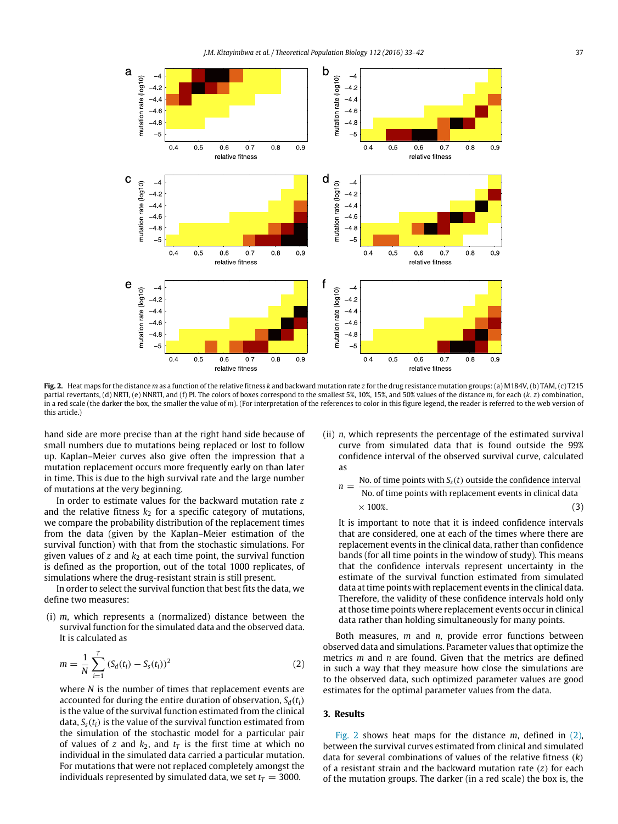<span id="page-4-0"></span>

**Fig. 2.** Heat maps for the distance *m* as a function of the relative fitness *k* and backward mutation rate *z* for the drug resistance mutation groups: (a) M184V, (b) TAM, (c) T215 partial revertants, (d) NRTI, (e) NNRTI, and (f) PI. The colors of boxes correspond to the smallest 5%, 10%, 15%, and 50% values of the distance *m*, for each (*k*, *z*) combination, in a red scale (the darker the box, the smaller the value of *m*). (For interpretation of the references to color in this figure legend, the reader is referred to the web version of this article.)

hand side are more precise than at the right hand side because of small numbers due to mutations being replaced or lost to follow up. Kaplan–Meier curves also give often the impression that a mutation replacement occurs more frequently early on than later in time. This is due to the high survival rate and the large number of mutations at the very beginning.

In order to estimate values for the backward mutation rate *z* and the relative fitness  $k_2$  for a specific category of mutations, we compare the probability distribution of the replacement times from the data (given by the Kaplan–Meier estimation of the survival function) with that from the stochastic simulations. For given values of  $z$  and  $k_2$  at each time point, the survival function is defined as the proportion, out of the total 1000 replicates, of simulations where the drug-resistant strain is still present.

In order to select the survival function that best fits the data, we define two measures:

(i) *m*, which represents a (normalized) distance between the survival function for the simulated data and the observed data. It is calculated as

$$
m = \frac{1}{N} \sum_{i=1}^{T} (S_d(t_i) - S_s(t_i))^2
$$
 (2)

where *N* is the number of times that replacement events are accounted for during the entire duration of observation,  $S_d(t_i)$ is the value of the survival function estimated from the clinical data,  $S<sub>s</sub>(t<sub>i</sub>)$  is the value of the survival function estimated from the simulation of the stochastic model for a particular pair of values of *z* and  $k_2$ , and  $t_T$  is the first time at which no individual in the simulated data carried a particular mutation. For mutations that were not replaced completely amongst the individuals represented by simulated data, we set  $t_T = 3000$ .

(ii) *n*, which represents the percentage of the estimated survival curve from simulated data that is found outside the 99% confidence interval of the observed survival curve, calculated as

$$
n = \frac{\text{No. of time points with } S_s(t) \text{ outside the confidence interval}}{\text{No. of time points with replacement events in clinical data}}
$$

$$
\times 100\%.
$$
 (3)

<span id="page-4-2"></span>It is important to note that it is indeed confidence intervals that are considered, one at each of the times where there are replacement events in the clinical data, rather than confidence bands (for all time points in the window of study). This means that the confidence intervals represent uncertainty in the estimate of the survival function estimated from simulated data at time points with replacement events in the clinical data. Therefore, the validity of these confidence intervals hold only at those time points where replacement events occur in clinical data rather than holding simultaneously for many points.

<span id="page-4-1"></span>Both measures, *m* and *n*, provide error functions between observed data and simulations. Parameter values that optimize the metrics *m* and *n* are found. Given that the metrics are defined in such a way that they measure how close the simulations are to the observed data, such optimized parameter values are good estimates for the optimal parameter values from the data.

## **3. Results**

[Fig. 2](#page-4-0) shows heat maps for the distance *m*, defined in [\(2\),](#page-4-1) between the survival curves estimated from clinical and simulated data for several combinations of values of the relative fitness (*k*) of a resistant strain and the backward mutation rate (*z*) for each of the mutation groups. The darker (in a red scale) the box is, the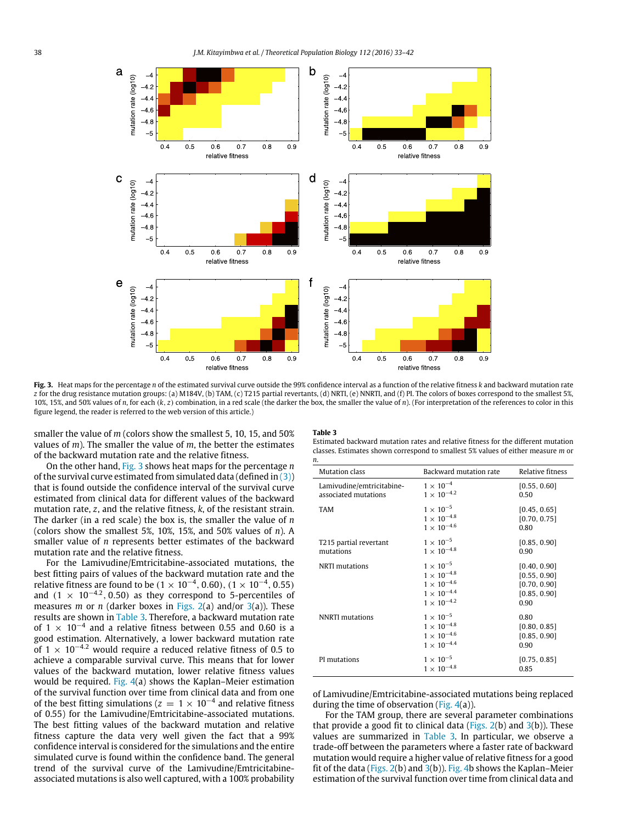<span id="page-5-0"></span>

**Fig. 3.** Heat maps for the percentage *n* of the estimated survival curve outside the 99% confidence interval as a function of the relative fitness *k* and backward mutation rate *z* for the drug resistance mutation groups: (a) M184V, (b) TAM, (c) T215 partial revertants, (d) NRTI, (e) NNRTI, and (f) PI. The colors of boxes correspond to the smallest 5%, 10%, 15%, and 50% values of *n*, for each (*k*, *z*) combination, in a red scale (the darker the box, the smaller the value of *n*). (For interpretation of the references to color in this figure legend, the reader is referred to the web version of this article.)

smaller the value of *m* (colors show the smallest 5, 10, 15, and 50% values of *m*). The smaller the value of *m*, the better the estimates of the backward mutation rate and the relative fitness.

On the other hand, [Fig. 3](#page-5-0) shows heat maps for the percentage *n* of the survival curve estimated from simulated data (defined in [\(3\)\)](#page-4-2) that is found outside the confidence interval of the survival curve estimated from clinical data for different values of the backward mutation rate, *z*, and the relative fitness, *k*, of the resistant strain. The darker (in a red scale) the box is, the smaller the value of *n* (colors show the smallest 5%, 10%, 15%, and 50% values of *n*). A smaller value of *n* represents better estimates of the backward mutation rate and the relative fitness.

For the Lamivudine/Emtricitabine-associated mutations, the best fitting pairs of values of the backward mutation rate and the relative fitness are found to be  $(1 \times 10^{-4}, 0.60)$ ,  $(1 \times 10^{-4}, 0.55)$ and  $(1 \times 10^{-4.2}, 0.50)$  as they correspond to 5-percentiles of measures *m* or *n* (darker boxes in [Figs. 2\(](#page-4-0)a) and/or [3\(](#page-5-0)a)). These results are shown in [Table 3.](#page-5-1) Therefore, a backward mutation rate of  $1 \times 10^{-4}$  and a relative fitness between 0.55 and 0.60 is a good estimation. Alternatively, a lower backward mutation rate of 1  $\times$  10<sup>-4.2</sup> would require a reduced relative fitness of 0.5 to achieve a comparable survival curve. This means that for lower values of the backward mutation, lower relative fitness values would be required. [Fig. 4\(](#page-6-0)a) shows the Kaplan–Meier estimation of the survival function over time from clinical data and from one of the best fitting simulations ( $z = 1 \times 10^{-4}$  and relative fitness of 0.55) for the Lamivudine/Emtricitabine-associated mutations. The best fitting values of the backward mutation and relative fitness capture the data very well given the fact that a 99% confidence interval is considered for the simulations and the entire simulated curve is found within the confidence band. The general trend of the survival curve of the Lamivudine/Emtricitabineassociated mutations is also well captured, with a 100% probability

#### <span id="page-5-1"></span>**Table 3**

Estimated backward mutation rates and relative fitness for the different mutation classes. Estimates shown correspond to smallest 5% values of either measure *m* or *n*.

| <b>Mutation class</b>                             | Backward mutation rate                                                                                         | Relative fitness                                                     |
|---------------------------------------------------|----------------------------------------------------------------------------------------------------------------|----------------------------------------------------------------------|
| Lamivudine/emtricitabine-<br>associated mutations | $1 \times 10^{-4}$<br>$1 \times 10^{-4.2}$                                                                     | [0.55, 0.60]<br>0.50                                                 |
| TAM                                               | $1 \times 10^{-5}$<br>$1\times10^{-4.8}$<br>$1 \times 10^{-4.6}$                                               | [0.45, 0.65]<br>[0.70, 0.75]<br>0.80                                 |
| T215 partial revertant<br>mutations               | $1 \times 10^{-5}$<br>$1 \times 10^{-4.8}$                                                                     | [0.85, 0.90]<br>0.90                                                 |
| NRTI mutations                                    | $1 \times 10^{-5}$<br>$1 \times 10^{-4.8}$<br>$1\times10^{-4.6}$<br>$1\times10^{-4.4}$<br>$1 \times 10^{-4.2}$ | [0.40, 0.90]<br>[0.55, 0.90]<br>[0.70, 0.90]<br>[0.85, 0.90]<br>0.90 |
| <b>NNRTI</b> mutations                            | $1 \times 10^{-5}$<br>$1 \times 10^{-4.8}$<br>$1\times10^{-4.6}$<br>$1\times10^{-4.4}$                         | 0.80<br>[0.80, 0.85]<br>[0.85, 0.90]<br>0.90                         |
| PI mutations                                      | $1 \times 10^{-5}$<br>$1 \times 10^{-4.8}$                                                                     | [0.75, 0.85]<br>0.85                                                 |

of Lamivudine/Emtricitabine-associated mutations being replaced during the time of observation [\(Fig. 4\(](#page-6-0)a)).

For the TAM group, there are several parameter combinations that provide a good fit to clinical data (Figs.  $2(b)$ ) and  $3(b)$  $3(b)$ ). These values are summarized in [Table 3.](#page-5-1) In particular, we observe a trade-off between the parameters where a faster rate of backward mutation would require a higher value of relative fitness for a good fit of the data (Figs.  $2(b)$  and  $3(b)$  $3(b)$ ). [Fig. 4b](#page-6-0) shows the Kaplan–Meier estimation of the survival function over time from clinical data and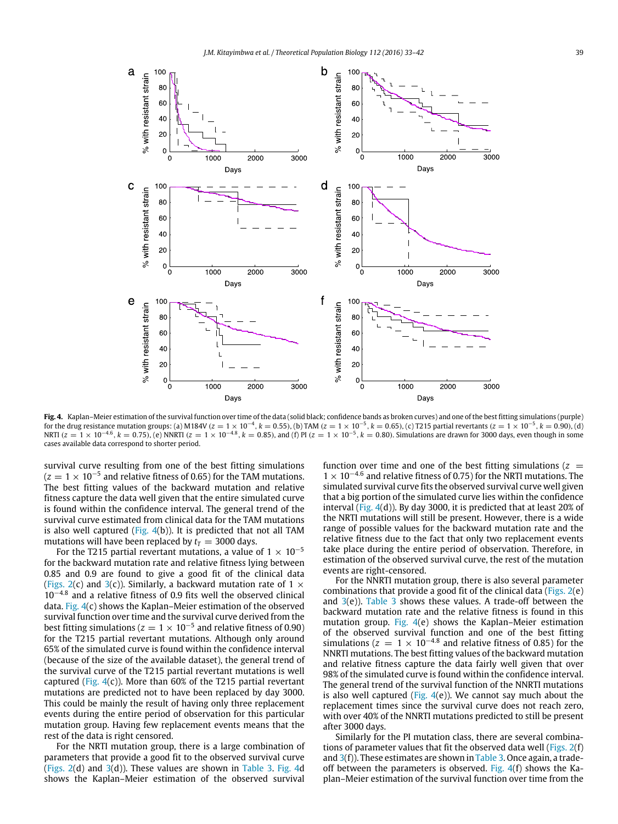<span id="page-6-0"></span>

**Fig. 4.** Kaplan–Meier estimation of the survival function over time of the data (solid black; confidence bands as broken curves) and one of the best fitting simulations (purple) for the drug resistance mutation groups: (a) M184V ( $z = 1 \times 10^{-4}$ ,  $k = 0.55$ ), (b) TAM ( $z = 1 \times 10^{-5}$ ,  $k = 0.65$ ), (c) T215 partial revertants ( $z = 1 \times 10^{-5}$ ,  $k = 0.90$ ), (d) NRTI (*z* = 1 × 10<sup>-4.6</sup>, *k* = 0.75), (e) NNRTI (*z* = 1 × 10<sup>-4.8</sup>, *k* = 0.85), and (f) PI (*z* = 1 × 10<sup>-5</sup>, *k* = 0.80). Simulations are drawn for 3000 days, even though in some cases available data correspond to shorter period.

survival curve resulting from one of the best fitting simulations  $(z = 1 \times 10^{-5}$  and relative fitness of 0.65) for the TAM mutations. The best fitting values of the backward mutation and relative fitness capture the data well given that the entire simulated curve is found within the confidence interval. The general trend of the survival curve estimated from clinical data for the TAM mutations is also well captured (Fig.  $4(b)$ ). It is predicted that not all TAM mutations will have been replaced by  $t_T = 3000$  days.

For the T215 partial revertant mutations, a value of  $1 \times 10^{-5}$ for the backward mutation rate and relative fitness lying between 0.85 and 0.9 are found to give a good fit of the clinical data [\(Figs. 2\(](#page-4-0)c) and [3\(](#page-5-0)c)). Similarly, a backward mutation rate of  $1 \times$ 10−4.<sup>8</sup> and a relative fitness of 0.9 fits well the observed clinical data. [Fig. 4\(](#page-6-0)c) shows the Kaplan–Meier estimation of the observed survival function over time and the survival curve derived from the best fitting simulations ( $z = 1 \times 10^{-5}$  and relative fitness of 0.90) for the T215 partial revertant mutations. Although only around 65% of the simulated curve is found within the confidence interval (because of the size of the available dataset), the general trend of the survival curve of the T215 partial revertant mutations is well captured [\(Fig. 4\(](#page-6-0)c)). More than 60% of the T215 partial revertant mutations are predicted not to have been replaced by day 3000. This could be mainly the result of having only three replacement events during the entire period of observation for this particular mutation group. Having few replacement events means that the rest of the data is right censored.

For the NRTI mutation group, there is a large combination of parameters that provide a good fit to the observed survival curve [\(Figs. 2\(](#page-4-0)d) and [3\(](#page-5-0)d)). These values are shown in [Table 3.](#page-5-1) [Fig. 4d](#page-6-0) shows the Kaplan–Meier estimation of the observed survival function over time and one of the best fitting simulations  $(z =$ 1 × 10−4.<sup>6</sup> and relative fitness of 0.75) for the NRTI mutations. The simulated survival curve fits the observed survival curve well given that a big portion of the simulated curve lies within the confidence interval [\(Fig. 4\(](#page-6-0)d)). By day 3000, it is predicted that at least 20% of the NRTI mutations will still be present. However, there is a wide range of possible values for the backward mutation rate and the relative fitness due to the fact that only two replacement events take place during the entire period of observation. Therefore, in estimation of the observed survival curve, the rest of the mutation events are right-censored.

For the NNRTI mutation group, there is also several parameter combinations that provide a good fit of the clinical data ( $Figs. 2(e)$ and  $3(e)$  $3(e)$ ). [Table 3](#page-5-1) shows these values. A trade-off between the backward mutation rate and the relative fitness is found in this mutation group. [Fig. 4\(](#page-6-0)e) shows the Kaplan–Meier estimation of the observed survival function and one of the best fitting simulations ( $z = 1 \times 10^{-4.8}$  and relative fitness of 0.85) for the NNRTI mutations. The best fitting values of the backward mutation and relative fitness capture the data fairly well given that over 98% of the simulated curve is found within the confidence interval. The general trend of the survival function of the NNRTI mutations is also well captured (Fig.  $4(e)$ ). We cannot say much about the replacement times since the survival curve does not reach zero, with over 40% of the NNRTI mutations predicted to still be present after 3000 days.

Similarly for the PI mutation class, there are several combinations of parameter values that fit the observed data well [\(Figs. 2\(](#page-4-0)f) and  $3(f)$  $3(f)$ ). These estimates are shown in [Table 3.](#page-5-1) Once again, a tradeoff between the parameters is observed. Fig.  $4(f)$  shows the Kaplan–Meier estimation of the survival function over time from the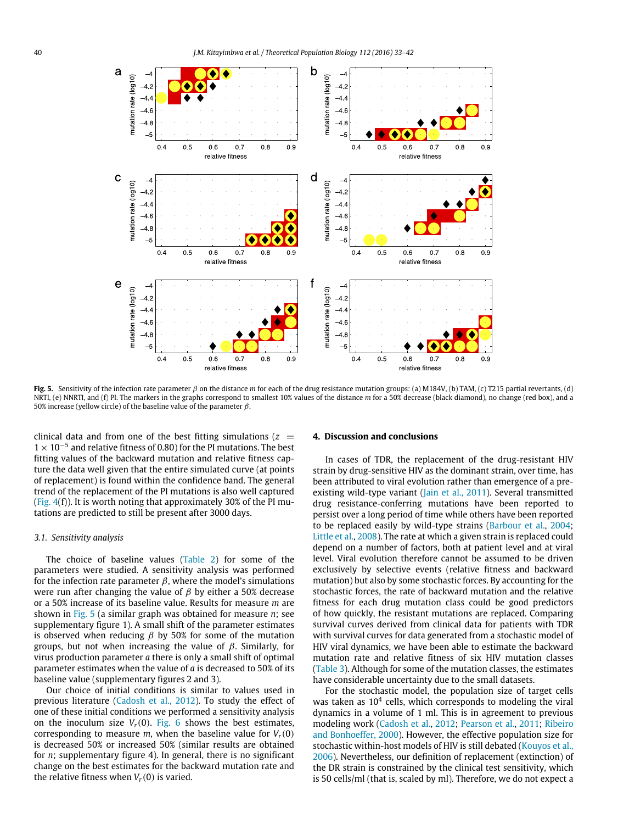<span id="page-7-0"></span>

**Fig. 5.** Sensitivity of the infection rate parameter β on the distance *m* for each of the drug resistance mutation groups: (a) M184V, (b) TAM, (c) T215 partial revertants, (d) NRTI, (e) NNRTI, and (f) PI. The markers in the graphs correspond to smallest 10% values of the distance *m* for a 50% decrease (black diamond), no change (red box), and a 50% increase (yellow circle) of the baseline value of the parameter  $\beta$ .

clinical data and from one of the best fitting simulations  $(z =$ 1 × 10<sup>-5</sup> and relative fitness of 0.80) for the PI mutations. The best fitting values of the backward mutation and relative fitness capture the data well given that the entire simulated curve (at points of replacement) is found within the confidence band. The general trend of the replacement of the PI mutations is also well captured [\(Fig. 4\(](#page-6-0)f)). It is worth noting that approximately 30% of the PI mutations are predicted to still be present after 3000 days.

#### *3.1. Sensitivity analysis*

The choice of baseline values [\(Table 2\)](#page-3-1) for some of the parameters were studied. A sensitivity analysis was performed for the infection rate parameter  $\beta$ , where the model's simulations were run after changing the value of  $\beta$  by either a 50% decrease or a 50% increase of its baseline value. Results for measure *m* are shown in [Fig. 5](#page-7-0) (a similar graph was obtained for measure *n*; see supplementary figure 1). A small shift of the parameter estimates is observed when reducing  $\beta$  by 50% for some of the mutation groups, but not when increasing the value of  $\beta$ . Similarly, for virus production parameter *a* there is only a small shift of optimal parameter estimates when the value of *a* is decreased to 50% of its baseline value (supplementary figures 2 and 3).

Our choice of initial conditions is similar to values used in previous literature [\(Cadosh](#page-9-18) [et al.,](#page-9-18) [2012\)](#page-9-18). To study the effect of one of these initial conditions we performed a sensitivity analysis on the inoculum size  $V_r(0)$ . [Fig. 6](#page-8-0) shows the best estimates, corresponding to measure *m*, when the baseline value for  $V_r(0)$ is decreased 50% or increased 50% (similar results are obtained for *n*; supplementary figure 4). In general, there is no significant change on the best estimates for the backward mutation rate and the relative fitness when  $V_r(0)$  is varied.

# **4. Discussion and conclusions**

In cases of TDR, the replacement of the drug-resistant HIV strain by drug-sensitive HIV as the dominant strain, over time, has been attributed to viral evolution rather than emergence of a preexisting wild-type variant [\(Jain](#page-9-11) [et al.,](#page-9-11) [2011\)](#page-9-11). Several transmitted drug resistance-conferring mutations have been reported to persist over a long period of time while others have been reported to be replaced easily by wild-type strains [\(Barbour](#page-9-23) [et al.,](#page-9-23) [2004;](#page-9-23) [Little](#page-9-8) [et al.,](#page-9-8) [2008\)](#page-9-8). The rate at which a given strain is replaced could depend on a number of factors, both at patient level and at viral level. Viral evolution therefore cannot be assumed to be driven exclusively by selective events (relative fitness and backward mutation) but also by some stochastic forces. By accounting for the stochastic forces, the rate of backward mutation and the relative fitness for each drug mutation class could be good predictors of how quickly, the resistant mutations are replaced. Comparing survival curves derived from clinical data for patients with TDR with survival curves for data generated from a stochastic model of HIV viral dynamics, we have been able to estimate the backward mutation rate and relative fitness of six HIV mutation classes [\(Table 3\)](#page-5-1). Although for some of the mutation classes, the estimates have considerable uncertainty due to the small datasets.

For the stochastic model, the population size of target cells was taken as  $10<sup>4</sup>$  cells, which corresponds to modeling the viral dynamics in a volume of 1 ml. This is in agreement to previous modeling work [\(Cadosh](#page-9-18) [et al.,](#page-9-18) [2012;](#page-9-18) [Pearson](#page-9-19) [et al.,](#page-9-19) [2011;](#page-9-19) [Ribeiro](#page-9-20) [and](#page-9-20) [Bonhoeffer,](#page-9-20) [2000\)](#page-9-20). However, the effective population size for stochastic within-host models of HIV is still debated [\(Kouyos](#page-9-21) [et al.,](#page-9-21) [2006\)](#page-9-21). Nevertheless, our definition of replacement (extinction) of the DR strain is constrained by the clinical test sensitivity, which is 50 cells/ml (that is, scaled by ml). Therefore, we do not expect a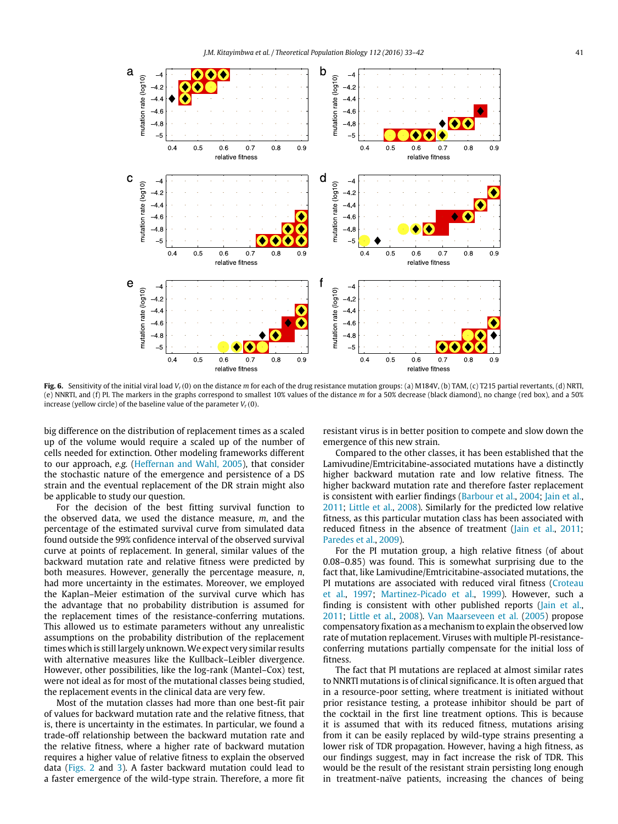<span id="page-8-0"></span>

Fig. 6. Sensitivity of the initial viral load *V<sub>r</sub>*(0) on the distance *m* for each of the drug resistance mutation groups: (a) M184V, (b) TAM, (c) T215 partial revertants, (d) NRTI, (e) NNRTI, and (f) PI. The markers in the graphs correspond to smallest 10% values of the distance *m* for a 50% decrease (black diamond), no change (red box), and a 50% increase (yellow circle) of the baseline value of the parameter  $V_r(0)$ .

big difference on the distribution of replacement times as a scaled up of the volume would require a scaled up of the number of cells needed for extinction. Other modeling frameworks different to our approach, *e.g.* [\(Heffernan](#page-9-24) [and](#page-9-24) [Wahl,](#page-9-24) [2005\)](#page-9-24), that consider the stochastic nature of the emergence and persistence of a DS strain and the eventual replacement of the DR strain might also be applicable to study our question.

For the decision of the best fitting survival function to the observed data, we used the distance measure, *m*, and the percentage of the estimated survival curve from simulated data found outside the 99% confidence interval of the observed survival curve at points of replacement. In general, similar values of the backward mutation rate and relative fitness were predicted by both measures. However, generally the percentage measure, *n*, had more uncertainty in the estimates. Moreover, we employed the Kaplan–Meier estimation of the survival curve which has the advantage that no probability distribution is assumed for the replacement times of the resistance-conferring mutations. This allowed us to estimate parameters without any unrealistic assumptions on the probability distribution of the replacement times which is still largely unknown.We expect very similar results with alternative measures like the Kullback–Leibler divergence. However, other possibilities, like the log-rank (Mantel–Cox) test, were not ideal as for most of the mutational classes being studied, the replacement events in the clinical data are very few.

Most of the mutation classes had more than one best-fit pair of values for backward mutation rate and the relative fitness, that is, there is uncertainty in the estimates. In particular, we found a trade-off relationship between the backward mutation rate and the relative fitness, where a higher rate of backward mutation requires a higher value of relative fitness to explain the observed data [\(Figs. 2](#page-4-0) and [3\)](#page-5-0). A faster backward mutation could lead to a faster emergence of the wild-type strain. Therefore, a more fit resistant virus is in better position to compete and slow down the emergence of this new strain.

Compared to the other classes, it has been established that the Lamivudine/Emtricitabine-associated mutations have a distinctly higher backward mutation rate and low relative fitness. The higher backward mutation rate and therefore faster replacement is consistent with earlier findings [\(Barbour](#page-9-23) [et al.,](#page-9-23) [2004;](#page-9-23) [Jain](#page-9-11) [et al.,](#page-9-11) [2011;](#page-9-11) [Little](#page-9-8) [et al.,](#page-9-8) [2008\)](#page-9-8). Similarly for the predicted low relative fitness, as this particular mutation class has been associated with reduced fitness in the absence of treatment [\(Jain](#page-9-11) [et al.,](#page-9-11) [2011;](#page-9-11) [Paredes](#page-9-25) [et al.,](#page-9-25) [2009\)](#page-9-25).

For the PI mutation group, a high relative fitness (of about 0.08–0.85) was found. This is somewhat surprising due to the fact that, like Lamivudine/Emtricitabine-associated mutations, the PI mutations are associated with reduced viral fitness [\(Croteau](#page-9-26) [et al.,](#page-9-26) [1997;](#page-9-26) [Martinez-Picado](#page-9-27) [et al.,](#page-9-27) [1999\)](#page-9-27). However, such a finding is consistent with other published reports [\(Jain](#page-9-11) [et al.,](#page-9-11) [2011;](#page-9-11) [Little](#page-9-8) [et al.,](#page-9-8) [2008\)](#page-9-8). [Van](#page-9-28) [Maarseveen](#page-9-28) [et al.](#page-9-28) [\(2005\)](#page-9-28) propose compensatory fixation as a mechanism to explain the observed low rate of mutation replacement. Viruses with multiple PI-resistanceconferring mutations partially compensate for the initial loss of fitness.

The fact that PI mutations are replaced at almost similar rates to NNRTI mutations is of clinical significance. It is often argued that in a resource-poor setting, where treatment is initiated without prior resistance testing, a protease inhibitor should be part of the cocktail in the first line treatment options. This is because it is assumed that with its reduced fitness, mutations arising from it can be easily replaced by wild-type strains presenting a lower risk of TDR propagation. However, having a high fitness, as our findings suggest, may in fact increase the risk of TDR. This would be the result of the resistant strain persisting long enough in treatment-naïve patients, increasing the chances of being